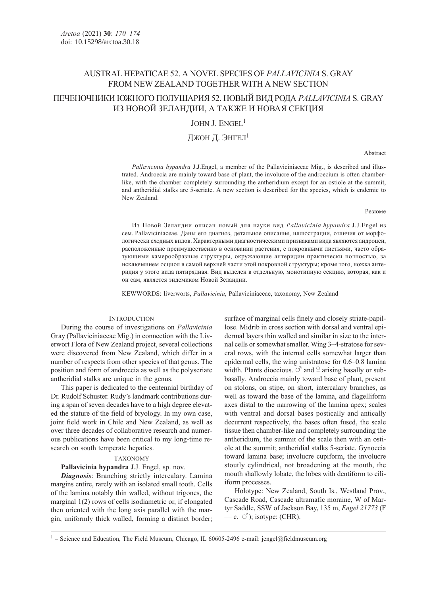## AUSTRAL HEPATICAE 52. A NOVEL SPECIES OF PALLAVICINIA S. GRAY FROM NEW ZEALAND TOGETHER WITH A NEW SECTION

# ПЕЧЕНОЧНИКИ ЮЖНОГО ПОЛУШАРИЯ 52. НОВЫЙ ВИД РОДА PALLAVICINIA S. GRAY ИЗ НОВОЙ ЗЕЛАНДИИ, А ТАКЖЕ И НОВАЯ СЕКЦИЯ

### JOHN J. ENGEL<sup>1</sup>

## ДЖОН Д. ЭНГЕЛ<sup>1</sup>

#### Abstract

Pallavicinia hypandra J.J.Engel, a member of the Pallaviciniaceae Mig., is described and illustrated. Androecia are mainly toward base of plant, the involucre of the androecium is often chamberlike, with the chamber completely surrounding the antheridium except for an ostiole at the summit, and antheridial stalks are 5-seriate. A new section is described for the species, which is endemic to New Zealand.

Резюме

Из Новой Зеландии описан новый для науки вид Pallavicinia hypandra J.J.Engel из сем. Pallaviciniaceae. Даны его диагноз, детальное описание, иллюстрации, отличия от морфологически сходных видов. Характерными диагностическими признаками вида являются андроцеи, расположенные преимущественно в основании растения, с покровными листьями, часто образующими камерообразные структуры, окружающие антеридии практически полностью, за исключением осциол в самой верхней части этой покровной структуры; кроме того, ножка антеридия у этого вида пятирядная. Вид выделен в отдельную, монотипную секцию, которая, как и он сам, является эндемиком Новой Зеландии.

KEWWORDS: liverworts, Pallavicinia, Pallaviciniaceae, taxonomy, New Zealand

#### **INTRODUCTION**

During the course of investigations on Pallavicinia Gray (Pallaviciniaceae Mig.) in connection with the Liverwort Flora of New Zealand project, several collections were discovered from New Zealand, which differ in a number of respects from other species of that genus. The position and form of androecia as well as the polyseriate antheridial stalks are unique in the genus.

This paper is dedicated to the centennial birthday of Dr. Rudolf Schuster. Rudy's landmark contributions during a span of seven decades have to a high degree elevated the stature of the field of bryology. In my own case, joint field work in Chile and New Zealand, as well as over three decades of collaborative research and numerous publications have been critical to my long-time research on south temperate hepatics.

#### TAXONOMY

### Pallavicinia hypandra J.J. Engel, sp. nov.

Diagnosis: Branching strictly intercalary. Lamina margins entire, rarely with an isolated small tooth. Cells of the lamina notably thin walled, without trigones, the marginal 1(2) rows of cells isodiametric or, if elongated then oriented with the long axis parallel with the margin, uniformly thick walled, forming a distinct border; surface of marginal cells finely and closely striate-papillose. Midrib in cross section with dorsal and ventral epidermal layers thin walled and similar in size to the internal cells or somewhat smaller. Wing 3–4-stratose for several rows, with the internal cells somewhat larger than epidermal cells, the wing unistratose for 0.6–0.8 lamina width. Plants dioecious.  $\vec{O}$  and  $\frac{\vec{O}}{4}$  arising basally or subbasally. Androecia mainly toward base of plant, present on stolons, on stipe, on short, intercalary branches, as well as toward the base of the lamina, and flagelliform axes distal to the narrowing of the lamina apex; scales with ventral and dorsal bases postically and antically decurrent respectively, the bases often fused, the scale tissue then chamber-like and completely surrounding the antheridium, the summit of the scale then with an ostiole at the summit; antheridial stalks 5-seriate. Gynoecia toward lamina base; involucre cupiform, the involucre stoutly cylindrical, not broadening at the mouth, the mouth shallowly lobate, the lobes with dentiform to ciliiform processes.

Holotype: New Zealand, South Is., Westland Prov., Cascade Road, Cascade ultramafic moraine, W of Martyr Saddle, SSW of Jackson Bay, 135 m, Engel 21773 (F — c.  $\circlearrowleft$ ); isotype: (CHR).

<sup>1</sup> – Science and Education, The Field Museum, Chicago, IL 60605-2496 e-mail: jengel@fieldmuseum.org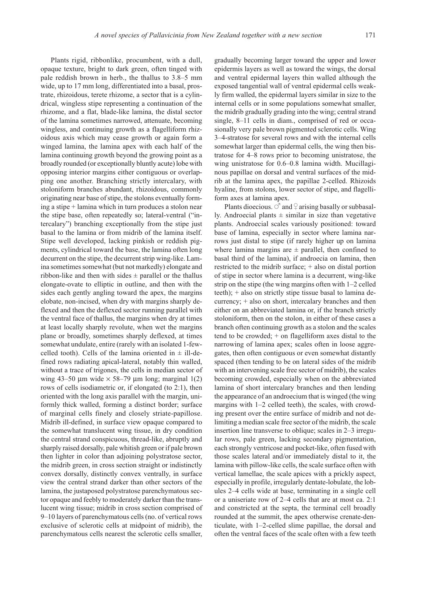Plants rigid, ribbonlike, procumbent, with a dull, opaque texture, bright to dark green, often tinged with pale reddish brown in herb., the thallus to 3.8–5 mm wide, up to 17 mm long, differentiated into a basal, prostrate, rhizoidous, terete rhizome, a sector that is a cylindrical, wingless stipe representing a continuation of the rhizome, and a flat, blade-like lamina, the distal sector of the lamina sometimes narrowed, attenuate, becoming wingless, and continuing growth as a flagelliform rhizoidous axis which may cease growth or again form a winged lamina, the lamina apex with each half of the lamina continuing growth beyond the growing point as a broadly rounded (or exceptionally bluntly acute) lobe with opposing interior margins either contiguous or overlapping one another. Branching strictly intercalary, with stoloniform branches abundant, rhizoidous, commonly originating near base of stipe, the stolons eventually forming a stipe + lamina which in turn produces a stolon near the stipe base, often repeatedly so; lateral-ventral ("intercalary") branching exceptionally from the stipe just basal to the lamina or from midrib of the lamina itself. Stipe well developed, lacking pinkish or reddish pigments, cylindrical toward the base, the lamina often long decurrent on the stipe, the decurrent strip wing-like. Lamina sometimes somewhat (but not markedly) elongate and ribbon-like and then with sides  $\pm$  parallel or the thallus elongate-ovate to elliptic in outline, and then with the sides each gently angling toward the apex, the margins elobate, non-incised, when dry with margins sharply deflexed and then the deflexed sector running parallel with the ventral face of thallus, the margins when dry at times at least locally sharply revolute, when wet the margins plane or broadly, sometimes sharply deflexed, at times somewhat undulate, entire (rarely with an isolated 1-fewcelled tooth). Cells of the lamina oriented in  $\pm$  ill-defined rows radiating apical-lateral, notably thin walled, without a trace of trigones, the cells in median sector of wing 43–50 μm wide  $\times$  58–79 μm long; marginal 1(2) rows of cells isodiametric or, if elongated (to 2:1), then oriented with the long axis parallel with the margin, uniformly thick walled, forming a distinct border; surface of marginal cells finely and closely striate-papillose. Midrib ill-defined, in surface view opaque compared to the somewhat translucent wing tissue, in dry condition the central strand conspicuous, thread-like, abruptly and sharply raised dorsally, pale whitish green or if pale brown then lighter in color than adjoining polystratose sector, the midrib green, in cross section straight or indistinctly convex dorsally, distinctly convex ventrally, in surface view the central strand darker than other sectors of the lamina, the justaposed polystratose parenchymatous sector opaque and feebly to moderately darker than the translucent wing tissue; midrib in cross section comprised of 9–10 layers of parenchymatous cells (no. of vertical rows exclusive of sclerotic cells at midpoint of midrib), the parenchymatous cells nearest the sclerotic cells smaller,

gradually becoming larger toward the upper and lower epidermis layers as well as toward the wings, the dorsal and ventral epidermal layers thin walled although the exposed tangential wall of ventral epidermal cells weakly firm walled, the epidermal layers similar in size to the internal cells or in some populations somewhat smaller, the midrib gradually grading into the wing; central strand single, 8–11 cells in diam., comprised of red or occasionally very pale brown pigmented sclerotic cells. Wing 3–4-stratose for several rows and with the internal cells somewhat larger than epidermal cells, the wing then bistratose for 4–8 rows prior to becoming unistratose, the wing unistratose for 0.6–0.8 lamina width. Mucillaginous papillae on dorsal and ventral surfaces of the midrib at the lamina apex, the papillae 2-celled. Rhizoids hyaline, from stolons, lower sector of stipe, and flagelliform axes at lamina apex.

Plants dioecious.  $\circ$  and  $\circ$  arising basally or subbasally. Androecial plants  $\pm$  similar in size than vegetative plants. Androecial scales variously positioned: toward base of lamina, especially in sector where lamina narrows just distal to stipe (if rarely higher up on lamina where lamina margins are  $\pm$  parallel, then confined to basal third of the lamina), if androecia on lamina, then restricted to the midrib surface; + also on distal portion of stipe in sector where lamina is a decurrent, wing-like strip on the stipe (the wing margins often with 1–2 celled teeth); + also on strictly stipe tissue basal to lamina decurrency; + also on short, intercalary branches and then either on an abbreviated lamina or, if the branch strictly stoloniform, then on the stolon, in either of these cases a branch often continuing growth as a stolon and the scales tend to be crowded; + on flagelliform axes distal to the narrowing of lamina apex; scales often in loose aggregates, then often contiguous or even somewhat distantly spaced (then tending to be on lateral sides of the midrib with an intervening scale free sector of midrib), the scales becoming crowded, especially when on the abbreviated lamina of short intercalary branches and then lending the appearance of an androecium that is winged (the wing margins with 1–2 celled teeth), the scales, with crowding present over the entire surface of midrib and not delimiting a median scale free sector of the midrib, the scale insertion line transverse to oblique; scales in 2–3 irregular rows, pale green, lacking secondary pigmentation, each strongly ventricose and pocket-like, often fused with those scales lateral and/or immediately distal to it, the lamina with pillow-like cells, the scale surface often with vertical lamellae, the scale apices with a prickly aspect, especially in profile, irregularly dentate-lobulate, the lobules 2–4 cells wide at base, terminating in a single cell or a uniseriate row of 2–4 cells that are at most ca. 2:1 and constricted at the septa, the terminal cell broadly rounded at the summit, the apex otherwise crenate-denticulate, with 1–2-celled slime papillae, the dorsal and often the ventral faces of the scale often with a few teeth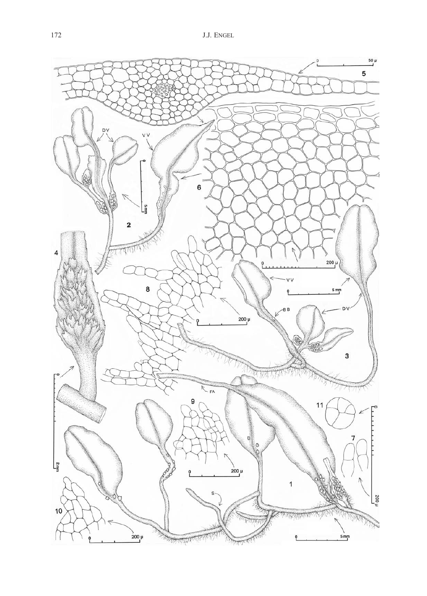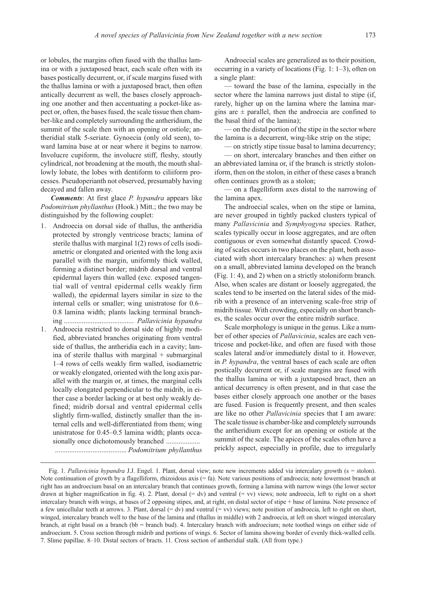or lobules, the margins often fused with the thallus lamina or with a juxtaposed bract, each scale often with its bases postically decurrent, or, if scale margins fused with the thallus lamina or with a juxtaposed bract, then often antically decurrent as well, the bases closely approaching one another and then accentuating a pocket-like aspect or, often, the bases fused, the scale tissue then chamber-like and completely surrounding the antheridium, the summit of the scale then with an opening or ostiole; antheridial stalk 5-seriate. Gynoecia (only old seen), toward lamina base at or near where it begins to narrow. Involucre cupiform, the involucre stiff, fleshy, stoutly cylindrical, not broadening at the mouth, the mouth shallowly lobate, the lobes with dentiform to ciliiform processes. Pseudoperianth not observed, presumably having decayed and fallen away.

**Comments:** At first glace *P. hypandra* appears like Podomitrium phyllanthus (Hook.) Mitt.; the two may be distinguished by the following couplet:

- 1. Androecia on dorsal side of thallus, the antheridia protected by strongly ventricose bracts; lamina of sterile thallus with marginal 1(2) rows of cells isodiametric or elongated and oriented with the long axis parallel with the margin, uniformly thick walled, forming a distinct border; midrib dorsal and ventral epidermal layers thin walled (exc. exposed tangential wall of ventral epidermal cells weakly firm walled), the epidermal layers similar in size to the internal cells or smaller; wing unistratose for 0.6– 0.8 lamina width; plants lacking terminal branching ....................................... Pallavicinia hypandra
- 1. Androecia restricted to dorsal side of highly modified, abbreviated branches originating from ventral side of thallus, the antheridia each in a cavity; lamina of sterile thallus with marginal  $+$  submarginal 1–4 rows of cells weakly firm walled, isodiametric or weakly elongated, oriented with the long axis parallel with the margin or, at times, the marginal cells locally elongated perpendicular to the midrib, in either case a border lacking or at best only weakly defined; midrib dorsal and ventral epidermal cells slightly firm-walled, distinctly smaller than the internal cells and well-differentiated from them; wing unistratose for 0.45–0.5 lamina width; plants occasionally once dichotomously branched ................... ........................................ Podomitrium phyllanthus

Androecial scales are generalized as to their position, occurring in a variety of locations (Fig. 1: 1–3), often on a single plant:

— toward the base of the lamina, especially in the sector where the lamina narrows just distal to stipe (if, rarely, higher up on the lamina where the lamina margins are  $\pm$  parallel, then the androecia are confined to the basal third of the lamina);

— on the distal portion of the stipe in the sector where the lamina is a decurrent, wing-like strip on the stipe;

— on strictly stipe tissue basal to lamina decurrency;

— on short, intercalary branches and then either on an abbreviated lamina or, if the branch is strictly stoloniform, then on the stolon, in either of these cases a branch often continues growth as a stolon;

— on a flagelliform axes distal to the narrowing of the lamina apex.

The androecial scales, when on the stipe or lamina, are never grouped in tightly packed clusters typical of many Pallavicinia and Symphyogyna species. Rather, scales typically occur in loose aggregates, and are often contiguous or even somewhat distantly spaced. Crowding of scales occurs in two places on the plant, both associated with short intercalary branches: a) when present on a small, abbreviated lamina developed on the branch (Fig. 1: 4), and 2) when on a strictly stoloniform branch. Also, when scales are distant or loosely aggregated, the scales tend to be inserted on the lateral sides of the midrib with a presence of an intervening scale-free strip of midrib tissue. With crowding, especially on short branches, the scales occur over the entire midrib surface.

Scale morphology is unique in the genus. Like a number of other species of Pallavicinia, scales are each ventricose and pocket-like, and often are fused with those scales lateral and/or immediately distal to it. However, in P. hypandra, the ventral bases of each scale are often postically decurrent or, if scale margins are fused with the thallus lamina or with a juxtaposed bract, then an antical decurrency is often present, and in that case the bases either closely approach one another or the bases are fused. Fusion is frequently present, and then scales are like no other Pallavicinia species that I am aware: The scale tissue is chamber-like and completely surrounds the antheridium except for an opening or ostiole at the summit of the scale. The apices of the scales often have a prickly aspect, especially in profile, due to irregularly

Fig. 1. Pallavicinia hypandra J.J. Engel. 1. Plant, dorsal view; note new increments added via intercalary growth (s = stolon). Note continuation of growth by a flagelliform, rhizoidous axis (= fa). Note various positions of androecia; note lowermost branch at right has an androecium basal on an intercalary branch that continues growth, forming a lamina with narrow wings (the lower sector drawn at higher magnification in fig. 4). 2. Plant, dorsal (= dv) and ventral (= vv) views; note androecia, left to right on a short intercalary branch with wings, at bases of 2 opposing stipes, and, at right, on distal sector of stipe + base of lamina. Note presence of a few unicellular teeth at arrows. 3. Plant, dorsal (= dv) and ventral (= vv) views; note position of androecia, left to right on short, winged, intercalary branch well to the base of the lamina and (thallus in middle) with 2 androecia, at left on short winged intercalary branch, at right basal on a branch (bb = branch bud). 4. Intercalary branch with androecium; note toothed wings on either side of androecium. 5. Cross section through midrib and portions of wings. 6. Sector of lamina showing border of evenly thick-walled cells. 7. Slime papillae. 8–10. Distal sectors of bracts. 11. Cross section of antheridial stalk. (All from type.)